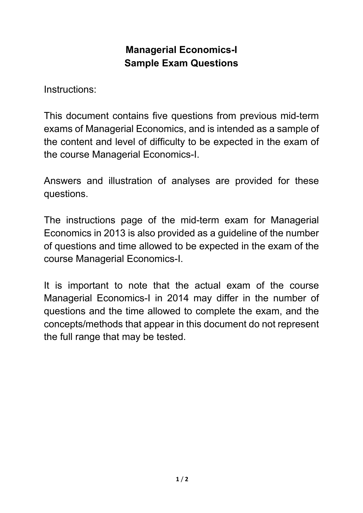#### **Managerial Economics-I Sample Exam Questions**

Instructions:

This document contains five questions from previous mid-term exams of Managerial Economics, and is intended as a sample of the content and level of difficulty to be expected in the exam of the course Managerial Economics-I.

Answers and illustration of analyses are provided for these questions.

The instructions page of the mid-term exam for Managerial Economics in 2013 is also provided as a guideline of the number of questions and time allowed to be expected in the exam of the course Managerial Economics-I.

It is important to note that the actual exam of the course Managerial Economics-I in 2014 may differ in the number of questions and the time allowed to complete the exam, and the concepts/methods that appear in this document do not represent the full range that may be tested.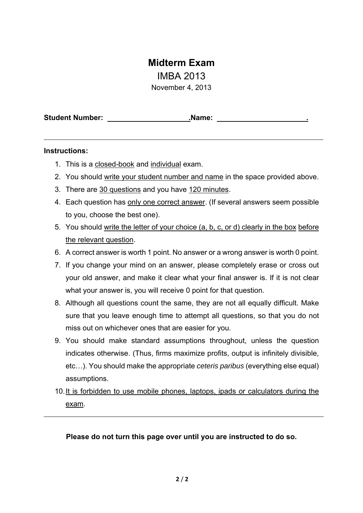#### **Midterm Exam**

IMBA 2013

November 4, 2013

**Student Number: .Name: .** 

#### **Instructions:**

- 1. This is a closed-book and individual exam.
- 2. You should write your student number and name in the space provided above.
- 3. There are 30 questions and you have 120 minutes.
- 4. Each question has only one correct answer. (If several answers seem possible to you, choose the best one).
- 5. You should write the letter of your choice (a, b, c, or d) clearly in the box before the relevant question.
- 6. A correct answer is worth 1 point. No answer or a wrong answer is worth 0 point.
- 7. If you change your mind on an answer, please completely erase or cross out your old answer, and make it clear what your final answer is. If it is not clear what your answer is, you will receive 0 point for that question.
- 8. Although all questions count the same, they are not all equally difficult. Make sure that you leave enough time to attempt all questions, so that you do not miss out on whichever ones that are easier for you.
- 9. You should make standard assumptions throughout, unless the question indicates otherwise. (Thus, firms maximize profits, output is infinitely divisible, etc…). You should make the appropriate *ceteris paribus* (everything else equal) assumptions.
- 10. It is forbidden to use mobile phones, laptops, ipads or calculators during the exam.

**Please do not turn this page over until you are instructed to do so.**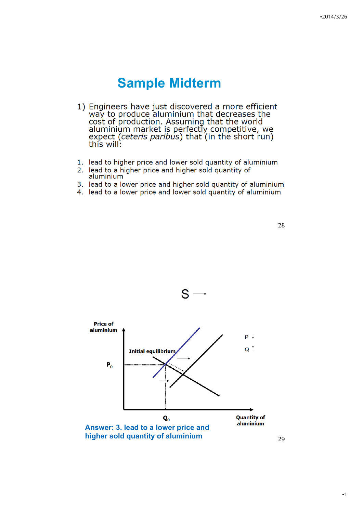- 1) Engineers have just discovered a more efficient way to produce aluminium that decreases the<br>cost of production. Assuming that the world aluminium market is perfectly competitive, we<br>expect (*ceteris paribus*) that (in the short run) this will:
- 1. lead to higher price and lower sold quantity of aluminium
- 2. lead to a higher price and higher sold quantity of aluminium
- 3. lead to a lower price and higher sold quantity of aluminium
- 4. lead to a lower price and lower sold quantity of aluminium





S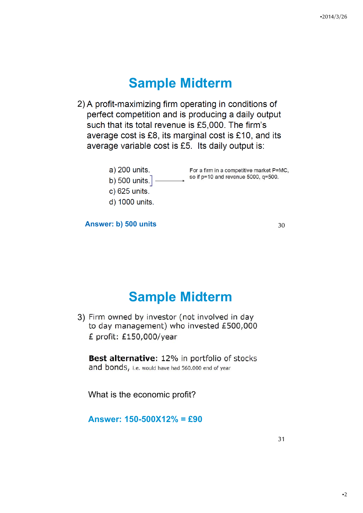2) A profit-maximizing firm operating in conditions of perfect competition and is producing a daily output such that its total revenue is £5,000. The firm's average cost is £8, its marginal cost is £10, and its average variable cost is £5. Its daily output is:



**Answer: b) 500 units** 30

# **Sample Midterm**

3) Firm owned by investor (not involved in day to day management) who invested £500,000 £ profit: £150,000/year

Best alternative: 12% in portfolio of stocks and bonds, i.e. would have had 560.000 end of year

What is the economic profit?

**Answer: 150-500X12% = £90**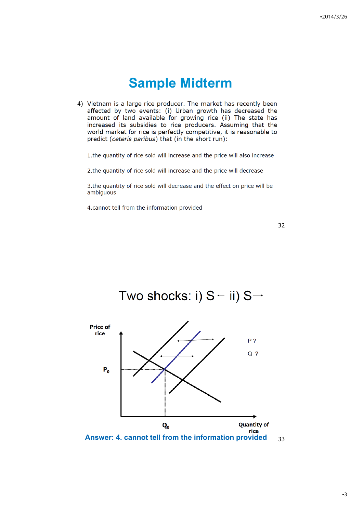4) Vietnam is a large rice producer. The market has recently been affected by two events: (i) Urban growth has decreased the amount of land available for growing rice (ii) The state has increased its subsidies to rice producers. Assuming that the world market for rice is perfectly competitive, it is reasonable to predict (ceteris paribus) that (in the short run):

1. the quantity of rice sold will increase and the price will also increase

2. the quantity of rice sold will increase and the price will decrease

3. the quantity of rice sold will decrease and the effect on price will be ambiguous

4.cannot tell from the information provided



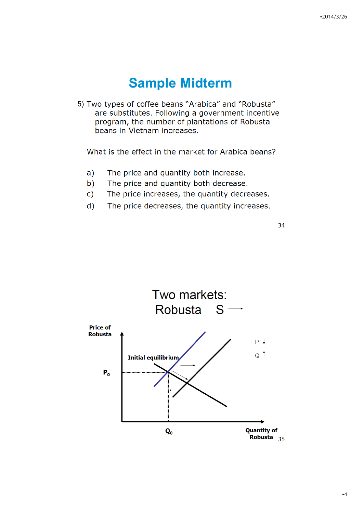5) Two types of coffee beans "Arabica" and "Robusta" are substitutes. Following a government incentive program, the number of plantations of Robusta beans in Vietnam increases.

What is the effect in the market for Arabica beans?

- $a)$ The price and quantity both increase.
- $b)$ The price and quantity both decrease.
- $\mathsf{C}$ The price increases, the quantity decreases.
- $\mathsf{d}$ ) The price decreases, the quantity increases.